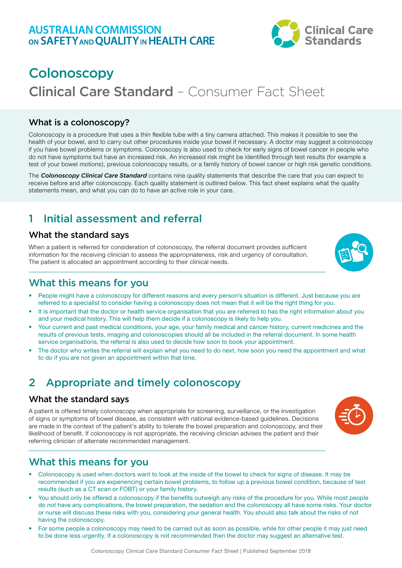

# **Colonoscopy** Clinical Care Standard – Consumer Fact Sheet

#### What is a colonoscopy?

Colonoscopy is a procedure that uses a thin flexible tube with a tiny camera attached. This makes it possible to see the health of your bowel, and to carry out other procedures inside your bowel if necessary. A doctor may suggest a colonoscopy if you have bowel problems or symptoms. Colonoscopy is also used to check for early signs of bowel cancer in people who do not have symptoms but have an increased risk. An increased risk might be identified through test results (for example a test of your bowel motions), previous colonoscopy results, or a family history of bowel cancer or high risk genetic conditions.

The *Colonoscopy Clinical Care Standard* contains nine quality statements that describe the care that you can expect to receive before and after colonoscopy. Each quality statement is outlined below. This fact sheet explains what the quality statements mean, and what you can do to have an active role in your care.

## 1 Initial assessment and referral

#### What the standard says

When a patient is referred for consideration of colonoscopy, the referral document provides sufficient information for the receiving clinician to assess the appropriateness, risk and urgency of consultation. The patient is allocated an appointment according to their clinical needs.



### What this means for you

- People might have a colonoscopy for different reasons and every person's situation is different. Just because you are referred to a specialist to consider having a colonoscopy does not mean that it will be the right thing for you.
- It is important that the doctor or health service organisation that you are referred to has the right information about you and your medical history. This will help them decide if a colonoscopy is likely to help you.
- Your current and past medical conditions, your age, your family medical and cancer history, current medicines and the results of previous tests, imaging and colonoscopies should all be included in the referral document. In some health service organisations, the referral is also used to decide how soon to book your appointment.
- The doctor who writes the referral will explain what you need to do next, how soon you need the appointment and what to do if you are not given an appointment within that time.

## 2 Appropriate and timely colonoscopy

#### What the standard says

A patient is offered timely colonoscopy when appropriate for screening, surveillance, or the investigation of signs or symptoms of bowel disease, as consistent with national evidence-based guidelines. Decisions are made in the context of the patient's ability to tolerate the bowel preparation and colonoscopy, and their likelihood of benefit. If colonoscopy is not appropriate, the receiving clinician advises the patient and their referring clinician of alternate recommended management.



### What this means for you

- Colonoscopy is used when doctors want to look at the inside of the bowel to check for signs of disease. It may be recommended if you are experiencing certain bowel problems, to follow up a previous bowel condition, because of test results (such as a CT scan or FOBT) or your family history.
- You should only be offered a colonoscopy if the benefits outweigh any risks of the procedure for you. While most people do not have any complications, the bowel preparation, the sedation and the colonoscopy all have some risks. Your doctor or nurse will discuss these risks with you, considering your general health. You should also talk about the risks of not having the colonoscopy.
- For some people a colonoscopy may need to be carried out as soon as possible, while for other people it may just need to be done less urgently. If a colonoscopy is not recommended then the doctor may suggest an alternative test.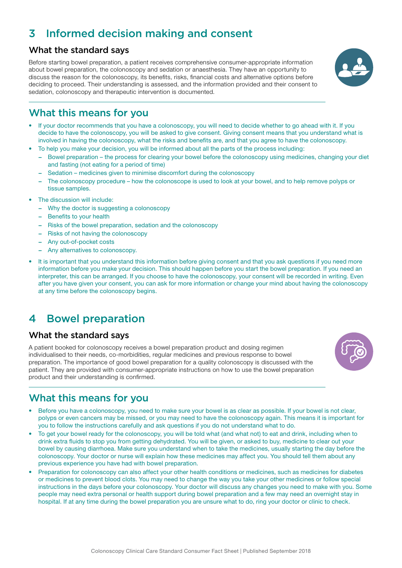## 3 Informed decision making and consent

### What the standard says

Before starting bowel preparation, a patient receives comprehensive consumer-appropriate information about bowel preparation, the colonoscopy and sedation or anaesthesia. They have an opportunity to discuss the reason for the colonoscopy, its benefits, risks, financial costs and alternative options before deciding to proceed. Their understanding is assessed, and the information provided and their consent to sedation, colonoscopy and therapeutic intervention is documented.



### What this means for you

- If your doctor recommends that you have a colonoscopy, you will need to decide whether to go ahead with it. If you decide to have the colonoscopy, you will be asked to give consent. Giving consent means that you understand what is involved in having the colonoscopy, what the risks and benefits are, and that you agree to have the colonoscopy.
- To help you make your decision, you will be informed about all the parts of the process including:
	- − Bowel preparation the process for clearing your bowel before the colonoscopy using medicines, changing your diet and fasting (not eating for a period of time)
	- − Sedation medicines given to minimise discomfort during the colonoscopy
	- The colonoscopy procedure how the colonoscope is used to look at your bowel, and to help remove polyps or tissue samples.
- The discussion will include:
	- − Why the doctor is suggesting a colonoscopy
	- − Benefits to your health
	- − Risks of the bowel preparation, sedation and the colonoscopy
	- − Risks of not having the colonoscopy
	- − Any out-of-pocket costs
	- − Any alternatives to colonoscopy.
- It is important that you understand this information before giving consent and that you ask questions if you need more information before you make your decision. This should happen before you start the bowel preparation. If you need an interpreter, this can be arranged. If you choose to have the colonoscopy, your consent will be recorded in writing. Even after you have given your consent, you can ask for more information or change your mind about having the colonoscopy at any time before the colonoscopy begins.

## 4 Bowel preparation

#### What the standard says

A patient booked for colonoscopy receives a bowel preparation product and dosing regimen individualised to their needs, co-morbidities, regular medicines and previous response to bowel preparation. The importance of good bowel preparation for a quality colonoscopy is discussed with the patient. They are provided with consumer-appropriate instructions on how to use the bowel preparation product and their understanding is confirmed.



### What this means for you

- Before you have a colonoscopy, you need to make sure your bowel is as clear as possible. If your bowel is not clear, polyps or even cancers may be missed, or you may need to have the colonoscopy again. This means it is important for you to follow the instructions carefully and ask questions if you do not understand what to do.
- To get your bowel ready for the colonoscopy, you will be told what (and what not) to eat and drink, including when to drink extra fluids to stop you from getting dehydrated. You will be given, or asked to buy, medicine to clear out your bowel by causing diarrhoea. Make sure you understand when to take the medicines, usually starting the day before the colonoscopy. Your doctor or nurse will explain how these medicines may affect you. You should tell them about any previous experience you have had with bowel preparation.
- Preparation for colonoscopy can also affect your other health conditions or medicines, such as medicines for diabetes or medicines to prevent blood clots. You may need to change the way you take your other medicines or follow special instructions in the days before your colonoscopy. Your doctor will discuss any changes you need to make with you. Some people may need extra personal or health support during bowel preparation and a few may need an overnight stay in hospital. If at any time during the bowel preparation you are unsure what to do, ring your doctor or clinic to check.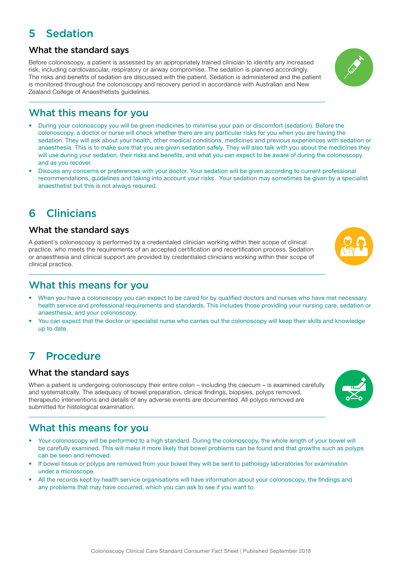## 5 Sedation

### What the standard says

Before colonoscopy, a patient is assessed by an appropriately trained clinician to identify any increased risk, including cardiovascular, respiratory or airway compromise. The sedation is planned accordingly. The risks and benefits of sedation are discussed with the patient. Sedation is administered and the patient is monitored throughout the colonoscopy and recovery period in accordance with Australian and New Zealand College of Anaesthetists guidelines.

### What this means for you

- During your colonoscopy you will be given medicines to minimise your pain or discomfort (sedation). Before the colonoscopy, a doctor or nurse will check whether there are any particular risks for you when you are having the sedation. They will ask about your health, other medical conditions, medicines and previous experiences with sedation or anaesthesia. This is to make sure that you are given sedation safely. They will also talk with you about the medicines they will use during your sedation, their risks and benefits, and what you can expect to be aware of during the colonoscopy and as you recover.
- Discuss any concerns or preferences with your doctor. Your sedation will be given according to current professional recommendations, guidelines and taking into account your risks. Your sedation may sometimes be given by a specialist anaesthetist but this is not always required.

## 6 Clinicians

#### What the standard says

A patient's colonoscopy is performed by a credentialed clinician working within their scope of clinical practice, who meets the requirements of an accepted certification and recertification process. Sedation or anaesthesia and clinical support are provided by credentialed clinicians working within their scope of clinical practice.

### What this means for you

- When you have a colonoscopy you can expect to be cared for by qualified doctors and nurses who have met necessary health service and professional requirements and standards. This includes those providing your nursing care, sedation or anaesthesia, and your colonoscopy.
- You can expect that the doctor or specialist nurse who carries out the colonoscopy will keep their skills and knowledge up to date.

## 7 Procedure

#### What the standard says

When a patient is undergoing colonoscopy their entire colon – including the caecum – is examined carefully and systematically. The adequacy of bowel preparation, clinical findings, biopsies, polyps removed, therapeutic interventions and details of any adverse events are documented. All polyps removed are submitted for histological examination.

### What this means for you

- Your colonoscopy will be performed to a high standard. During the colonoscopy, the whole length of your bowel will be carefully examined. This will make it more likely that bowel problems can be found and that growths such as polyps can be seen and removed.
- If bowel tissue or polyps are removed from your bowel they will be sent to pathology laboratories for examination under a microscope.
- All the records kept by health service organisations will have information about your colonoscopy, the findings and any problems that may have occurred, which you can ask to see if you want to.